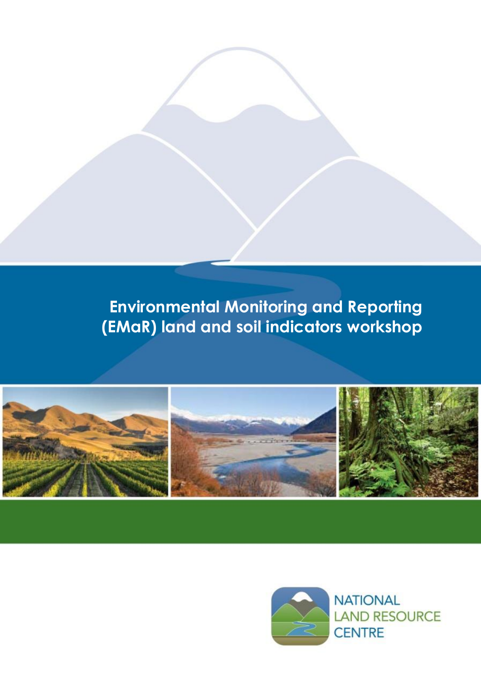

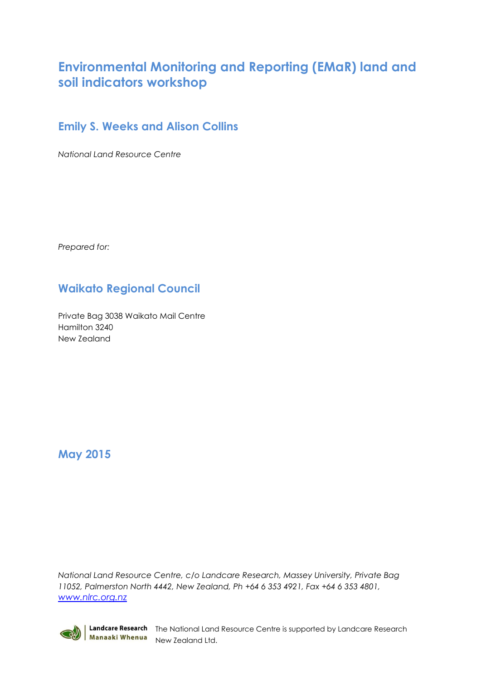### **Emily S. Weeks and Alison Collins**

*National Land Resource Centre*

*Prepared for:*

## **Waikato Regional Council**

Private Bag 3038 Waikato Mail Centre Hamilton 3240 New Zealand

### **May 2015**

*National Land Resource Centre, c/o Landcare Research, Massey University, Private Bag 11052, Palmerston North 4442, New Zealand, Ph +64 6 353 4921, Fax +64 6 353 4801, [www.nlrc.org.nz](http://www.nlrc.org.nz/)*



Landcare Research The National Land Resource Centre is supported by Landcare Research Manaaki Whenua<br>New Zealand Ltd.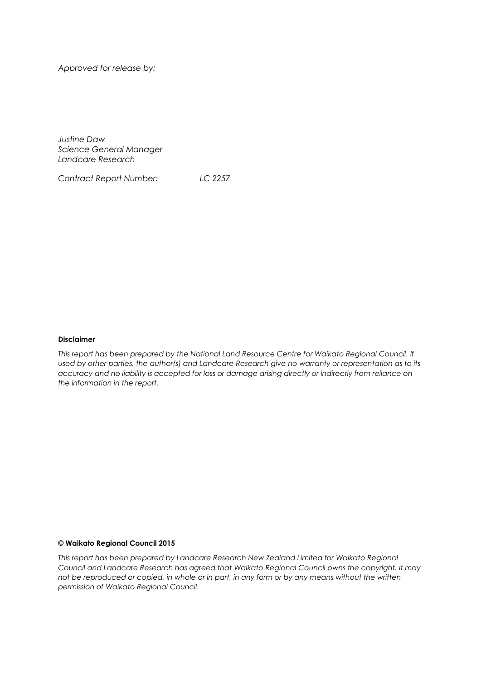*Approved for release by:*

*Justine Daw Science General Manager Landcare Research*

*Contract Report Number: LC 2257*

#### **Disclaimer**

*This report has been prepared by the National Land Resource Centre for Waikato Regional Council. If used by other parties, the author(s) and Landcare Research give no warranty or representation as to its accuracy and no liability is accepted for loss or damage arising directly or indirectly from reliance on the information in the report.*

#### **© Waikato Regional Council 2015**

*This report has been prepared by Landcare Research New Zealand Limited for Waikato Regional Council and Landcare Research has agreed that Waikato Regional Council owns the copyright. It may not be reproduced or copied, in whole or in part, in any form or by any means without the written permission of Waikato Regional Council.*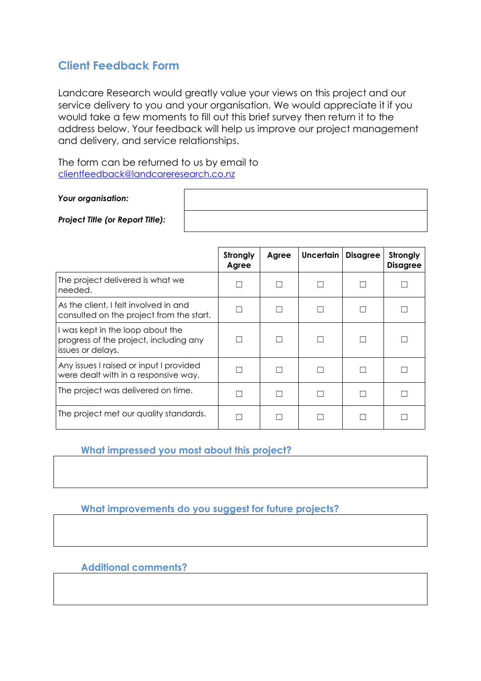### **Client Feedback Form**

Landcare Research would greatly value your views on this project and our service delivery to you and your organisation. We would appreciate it if you would take a few moments to fill out this brief survey then return it to the address below. Your feedback will help us improve our project management and delivery, and service relationships.

The form can be returned to us by email to [clientfeedback@landcareresearch.co.nz](mailto:clientfeedback@landcareresearch.co.nz)

*Your organisation:* 

*Project Title (or Report Title):*

|                                                                                                 | Strongly<br>Agree | Agree | Uncertain | <b>Disagree</b> | Strongly<br><b>Disagree</b> |
|-------------------------------------------------------------------------------------------------|-------------------|-------|-----------|-----------------|-----------------------------|
| The project delivered is what we<br>needed.                                                     |                   |       |           |                 |                             |
| As the client, I felt involved in and<br>consulted on the project from the start.               |                   |       |           |                 |                             |
| I was kept in the loop about the<br>progress of the project, including any<br>issues or delays. |                   |       |           |                 |                             |
| Any issues I raised or input I provided<br>were dealt with in a responsive way.                 |                   |       |           | L.              |                             |
| The project was delivered on time.                                                              |                   |       |           | L.              |                             |
| The project met our quality standards.                                                          |                   |       |           |                 |                             |

**What impressed you most about this project?**

**What improvements do you suggest for future projects?**

**Additional comments?**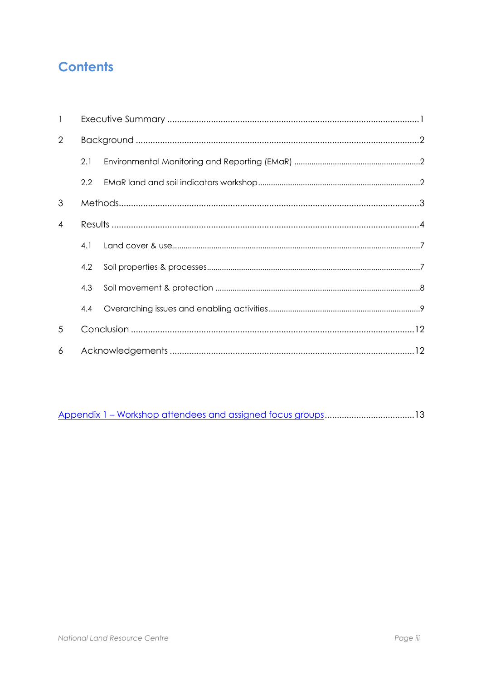# **Contents**

| $\mathbf{1}$ |     |  |  |  |  |
|--------------|-----|--|--|--|--|
| 2            |     |  |  |  |  |
|              | 2.1 |  |  |  |  |
|              | 2.2 |  |  |  |  |
| 3            |     |  |  |  |  |
| 4            |     |  |  |  |  |
|              | 4.1 |  |  |  |  |
|              | 4.2 |  |  |  |  |
|              | 4.3 |  |  |  |  |
|              | 4.4 |  |  |  |  |
| 5            |     |  |  |  |  |
| 6            |     |  |  |  |  |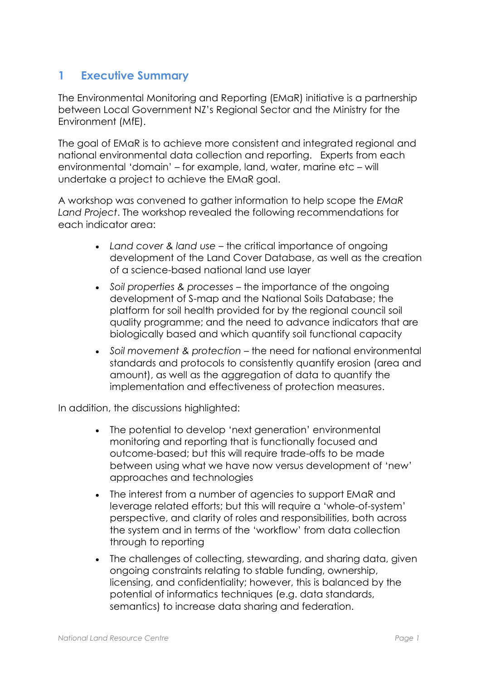### <span id="page-8-0"></span>**1 Executive Summary**

The Environmental Monitoring and Reporting (EMaR) initiative is a partnership between Local Government NZ's Regional Sector and the Ministry for the Environment (MfE).

The goal of EMaR is to achieve more consistent and integrated regional and national environmental data collection and reporting. Experts from each environmental 'domain' – for example, land, water, marine etc – will undertake a project to achieve the EMaR goal.

A workshop was convened to gather information to help scope the *EMaR Land Project*. The workshop revealed the following recommendations for each indicator area:

- *Land cover & land use –* the critical importance of ongoing development of the Land Cover Database, as well as the creation of a science-based national land use layer
- *Soil properties & processes*  the importance of the ongoing development of S-map and the National Soils Database; the platform for soil health provided for by the regional council soil quality programme; and the need to advance indicators that are biologically based and which quantify soil functional capacity
- *Soil movement & protection*  the need for national environmental standards and protocols to consistently quantify erosion (area and amount), as well as the aggregation of data to quantify the implementation and effectiveness of protection measures.

In addition, the discussions highlighted:

- The potential to develop 'next generation' environmental monitoring and reporting that is functionally focused and outcome-based; but this will require trade-offs to be made between using what we have now versus development of 'new' approaches and technologies
- The interest from a number of agencies to support EMaR and leverage related efforts; but this will require a 'whole-of-system' perspective, and clarity of roles and responsibilities, both across the system and in terms of the 'workflow' from data collection through to reporting
- The challenges of collecting, stewarding, and sharing data, given ongoing constraints relating to stable funding, ownership, licensing, and confidentiality; however, this is balanced by the potential of informatics techniques (e.g. data standards, semantics) to increase data sharing and federation.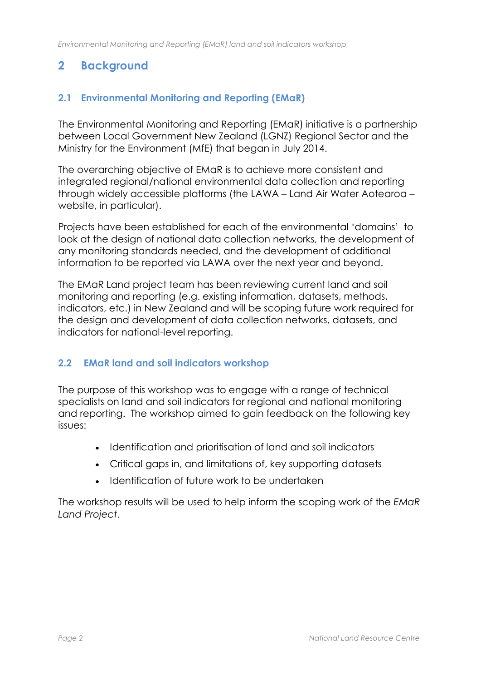## <span id="page-9-0"></span>**2 Background**

### <span id="page-9-1"></span>**2.1 Environmental Monitoring and Reporting (EMaR)**

The Environmental Monitoring and Reporting (EMaR) initiative is a partnership between Local Government New Zealand (LGNZ) Regional Sector and the Ministry for the Environment (MfE) that began in July 2014.

The overarching objective of EMaR is to achieve more consistent and integrated regional/national environmental data collection and reporting through widely accessible platforms (the LAWA – Land Air Water Aotearoa – website, in particular).

Projects have been established for each of the environmental 'domains' to look at the design of national data collection networks, the development of any monitoring standards needed, and the development of additional information to be reported via LAWA over the next year and beyond.

The EMaR Land project team has been reviewing current land and soil monitoring and reporting (e.g. existing information, datasets, methods, indicators, etc.) in New Zealand and will be scoping future work required for the design and development of data collection networks, datasets, and indicators for national-level reporting.

#### <span id="page-9-2"></span>**2.2 EMaR land and soil indicators workshop**

The purpose of this workshop was to engage with a range of technical specialists on land and soil indicators for regional and national monitoring and reporting. The workshop aimed to gain feedback on the following key issues:

- Identification and prioritisation of land and soil indicators
- Critical gaps in, and limitations of, key supporting datasets
- Identification of future work to be undertaken

The workshop results will be used to help inform the scoping work of the *EMaR Land Project*.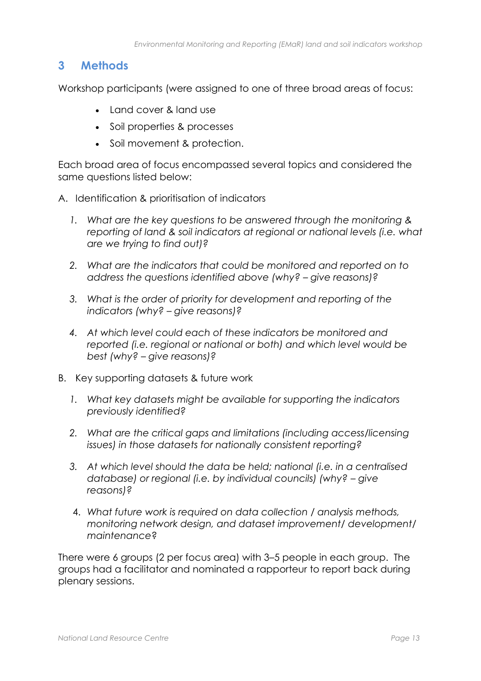### <span id="page-10-0"></span>**3 Methods**

Workshop participants (were assigned to one of three broad areas of focus:

- Land cover & land use
- Soil properties & processes
- Soil movement & protection.

Each broad area of focus encompassed several topics and considered the same questions listed below:

- A. Identification & prioritisation of indicators
	- *1. What are the key questions to be answered through the monitoring & reporting of land & soil indicators at regional or national levels (i.e. what are we trying to find out)?*
	- *2. What are the indicators that could be monitored and reported on to address the questions identified above (why? – give reasons)?*
	- *3. What is the order of priority for development and reporting of the indicators (why? – give reasons)?*
	- *4. At which level could each of these indicators be monitored and reported (i.e. regional or national or both) and which level would be best (why? – give reasons)?*
- B. Key supporting datasets & future work
	- *1. What key datasets might be available for supporting the indicators previously identified?*
	- *2. What are the critical gaps and limitations (including access/licensing issues) in those datasets for nationally consistent reporting?*
	- *3. At which level should the data be held; national (i.e. in a centralised database) or regional (i.e. by individual councils) (why? – give reasons)?*
	- 4. *What future work is required on data collection / analysis methods, monitoring network design, and dataset improvement/ development/ maintenance*?

There were 6 groups (2 per focus area) with 3–5 people in each group. The groups had a facilitator and nominated a rapporteur to report back during plenary sessions.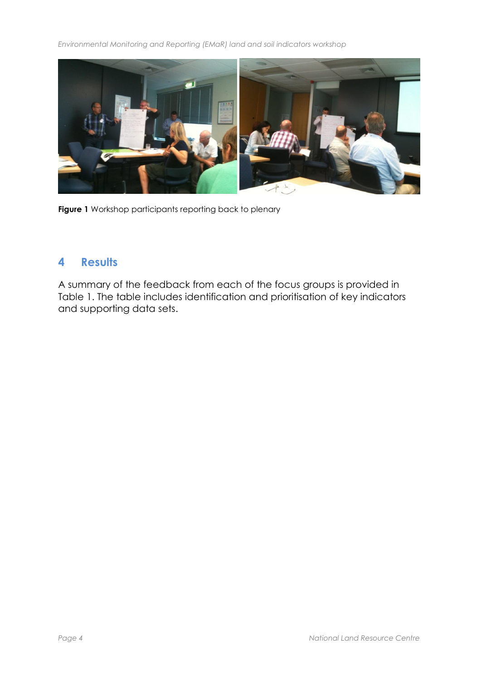

**Figure 1** Workshop participants reporting back to plenary

### <span id="page-11-0"></span>**4 Results**

A summary of the feedback from each of the focus groups is provided in Table 1. The table includes identification and prioritisation of key indicators and supporting data sets.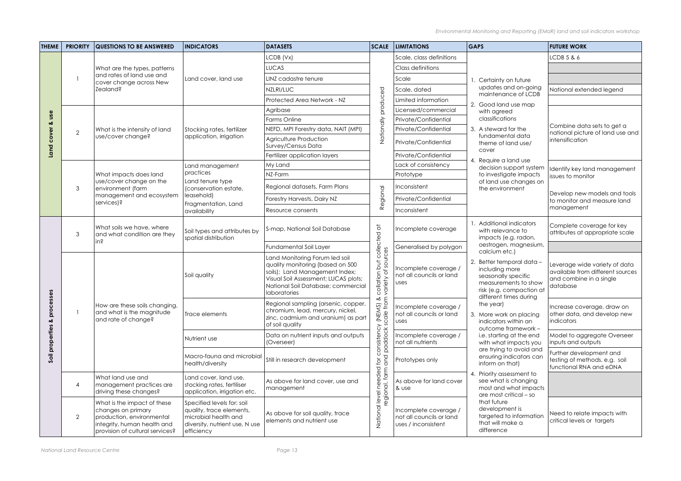| <b>THEME</b>                                            | <b>PRIORITY</b> | <b>QUESTIONS TO BE ANSWERED</b>                                                                                                                  | <b>INDICATORS</b>                                                                                                              | <b>DATASETS</b>                                                                                                                                                                                    |                                                                                      | <b>SCALE LIMITATIONS</b>                                                 | <b>GAPS</b>                                                                                                                                                                                                                                                                                                                                                                                                             | <b>FUTURE WORK</b>                                                                                       |
|---------------------------------------------------------|-----------------|--------------------------------------------------------------------------------------------------------------------------------------------------|--------------------------------------------------------------------------------------------------------------------------------|----------------------------------------------------------------------------------------------------------------------------------------------------------------------------------------------------|--------------------------------------------------------------------------------------|--------------------------------------------------------------------------|-------------------------------------------------------------------------------------------------------------------------------------------------------------------------------------------------------------------------------------------------------------------------------------------------------------------------------------------------------------------------------------------------------------------------|----------------------------------------------------------------------------------------------------------|
|                                                         |                 |                                                                                                                                                  |                                                                                                                                | LCDB (Vx)                                                                                                                                                                                          |                                                                                      | Scale, class definitions                                                 |                                                                                                                                                                                                                                                                                                                                                                                                                         | LCDB 5 & 6                                                                                               |
|                                                         |                 | What are the types, patterns                                                                                                                     | Land cover, land use                                                                                                           | <b>LUCAS</b>                                                                                                                                                                                       |                                                                                      | Class definitions                                                        |                                                                                                                                                                                                                                                                                                                                                                                                                         |                                                                                                          |
|                                                         |                 | and rates of land use and<br>cover change across New                                                                                             |                                                                                                                                | LINZ cadastre tenure                                                                                                                                                                               |                                                                                      | Scale                                                                    | . Certainty on future                                                                                                                                                                                                                                                                                                                                                                                                   |                                                                                                          |
|                                                         |                 | Zealand?                                                                                                                                         |                                                                                                                                | NZLRI/LUC                                                                                                                                                                                          |                                                                                      | Scale, dated                                                             | updates and on-going                                                                                                                                                                                                                                                                                                                                                                                                    | National extended legend                                                                                 |
|                                                         |                 |                                                                                                                                                  |                                                                                                                                | Protected Area Network - NZ                                                                                                                                                                        | produced                                                                             | Limited information                                                      | maintenance of LCDB                                                                                                                                                                                                                                                                                                                                                                                                     |                                                                                                          |
|                                                         |                 |                                                                                                                                                  |                                                                                                                                | Agribase                                                                                                                                                                                           |                                                                                      | Licensed/commercial                                                      | 2. Good land use map<br>with agreed                                                                                                                                                                                                                                                                                                                                                                                     |                                                                                                          |
| use<br>cover                                            | $\overline{2}$  |                                                                                                                                                  | Stocking rates, fertilizer                                                                                                     | <b>Farms Online</b>                                                                                                                                                                                |                                                                                      | Private/Confidential                                                     | classifications<br>3. A steward for the                                                                                                                                                                                                                                                                                                                                                                                 |                                                                                                          |
|                                                         |                 | What is the intensity of land                                                                                                                    |                                                                                                                                | NEFD, MPI Forestry data, NAIT (MPI)                                                                                                                                                                | Nationally                                                                           | Private/Confidential                                                     |                                                                                                                                                                                                                                                                                                                                                                                                                         | Combine data sets to get a<br>national picture of land use and                                           |
|                                                         |                 | use/cover change?                                                                                                                                | application, irrigation                                                                                                        | Agriculture Production<br>Survey/Census Data                                                                                                                                                       |                                                                                      | Private/Confidential                                                     | fundamental data<br>theme of land use/<br>cover                                                                                                                                                                                                                                                                                                                                                                         | intensification                                                                                          |
| Land                                                    |                 |                                                                                                                                                  |                                                                                                                                | Fertilizer application layers                                                                                                                                                                      |                                                                                      | Private/Confidential                                                     | 4. Require a land use                                                                                                                                                                                                                                                                                                                                                                                                   |                                                                                                          |
|                                                         |                 |                                                                                                                                                  | Land management                                                                                                                | My Land                                                                                                                                                                                            |                                                                                      | Lack of consistency                                                      | decision support system                                                                                                                                                                                                                                                                                                                                                                                                 | Identify key land management                                                                             |
|                                                         |                 | What impacts does land                                                                                                                           | practices                                                                                                                      | NZ-Farm                                                                                                                                                                                            |                                                                                      | Prototype                                                                | to investigate impacts                                                                                                                                                                                                                                                                                                                                                                                                  | issues to monitor                                                                                        |
|                                                         | 3               | use/cover change on the<br>environment (farm                                                                                                     | Land tenure type<br>(conservation estate,                                                                                      | Regional datasets, Farm Plans                                                                                                                                                                      | Regional                                                                             | Inconsistent                                                             | of land use changes on<br>the environment                                                                                                                                                                                                                                                                                                                                                                               | Develop new models and tools                                                                             |
|                                                         |                 | management and ecosystem<br>services)?                                                                                                           | leasehold)<br>Fragmentation, Land<br>availability                                                                              | Forestry Harvests, Dairy NZ                                                                                                                                                                        |                                                                                      | Private/Confidential                                                     |                                                                                                                                                                                                                                                                                                                                                                                                                         | to monitor and measure land                                                                              |
|                                                         |                 |                                                                                                                                                  |                                                                                                                                | Resource consents                                                                                                                                                                                  |                                                                                      | Inconsistent                                                             |                                                                                                                                                                                                                                                                                                                                                                                                                         | management                                                                                               |
| ő<br>ess<br>Ū<br><u>p</u><br>ಹ<br>properties<br>$S$ oil | 3               | What soils we have, where<br>and what condition are they<br>in?                                                                                  | Soil types and attributes by<br>spatial distribution                                                                           | S-map, National Soil Database                                                                                                                                                                      |                                                                                      | Incomplete coverage                                                      | <b>Additional indicators</b><br>with relevance to<br>impacts (e.g. radon,<br>oestrogen, magnesium,                                                                                                                                                                                                                                                                                                                      | Complete coverage for key<br>attributes at appropriate scale                                             |
|                                                         |                 |                                                                                                                                                  |                                                                                                                                | Fundamental Soil Layer                                                                                                                                                                             |                                                                                      | Generalised by polygon                                                   |                                                                                                                                                                                                                                                                                                                                                                                                                         |                                                                                                          |
|                                                         |                 | How are these soils changing,<br>and what is the magnitude<br>and rate of change?                                                                | Soil quality                                                                                                                   | Land Monitoring Forum led soil<br>quality monitoring (based on 500<br>soils); Land Management Index;<br>Visual Soil Assessment; LUCAS plots;<br>National Soil Database; commercial<br>laboratories | collation but collected at<br>variety of sources                                     | Incomplete coverage /<br>not all councils or land<br>uses                | calcium etc.)<br>2. Better temporal data -<br>including more<br>seasonally specific<br>measurements to show<br>risk (e.g. compaction at<br>different times during                                                                                                                                                                                                                                                       | Leverage wide variety of data<br>available from different sources<br>and combine in a single<br>database |
|                                                         |                 |                                                                                                                                                  | Trace elements                                                                                                                 | Regional sampling (arsenic, copper,<br>chromium, lead, mercury, nickel,<br>zinc, cadmium and uranium) as part<br>of soil quality                                                                   | $\frac{\lambda S}{\text{from}}$                                                      | Incomplete coverage /<br>not all councils or land<br>uses                | the year)<br>3. More work on placing<br>indicators within an<br>outcome framework -<br>i.e. starting at the end<br>with what impacts you<br>are trying to avoid and<br>ensuring indicators can<br>inform on that)<br>4. Priority assessment to<br>see what is changing<br>most and what impacts<br>are most critical - so<br>that future<br>development is<br>targeted to information<br>that will make a<br>difference | Increase coverage, draw on<br>other data, and develop new<br>indicators                                  |
|                                                         |                 |                                                                                                                                                  | Nutrient use                                                                                                                   | Data on nutrient inputs and outputs<br>(Overseer)                                                                                                                                                  |                                                                                      | Incomplete coverage /<br>not all nutrients                               |                                                                                                                                                                                                                                                                                                                                                                                                                         | Model to aggregate Overseer<br>inputs and outputs                                                        |
|                                                         |                 |                                                                                                                                                  | Macro-fauna and microbial<br>health/diversity                                                                                  | Still in research development                                                                                                                                                                      |                                                                                      | Prototypes only                                                          |                                                                                                                                                                                                                                                                                                                                                                                                                         | Further development and<br>testing of methods, e.g. soil<br>functional RNA and eDNA                      |
|                                                         | $\overline{4}$  | What land use and<br>management practices are<br>driving these changes?                                                                          | Land cover, land use,<br>stocking rates, fertiliser<br>application, irrigation etc.                                            | As above for land cover, use and<br>management                                                                                                                                                     |                                                                                      | As above for land cover<br>& use                                         |                                                                                                                                                                                                                                                                                                                                                                                                                         |                                                                                                          |
|                                                         | $\overline{2}$  | What is the impact of these<br>changes on primary<br>production, environmental<br>integrity, human health and<br>provision of cultural services? | Specified levels for: soil<br>quality, trace elements,<br>microbial health and<br>diversity, nutrient use, N use<br>efficiency | As above for soil quality, trace<br>elements and nutrient use                                                                                                                                      | National level needed for consistency (NEMS)<br>regional, farm and paddock scale fro | Incomplete coverage /<br>not all councils or land<br>uses / inconsistent |                                                                                                                                                                                                                                                                                                                                                                                                                         | Need to relate impacts with<br>critical levels or targets                                                |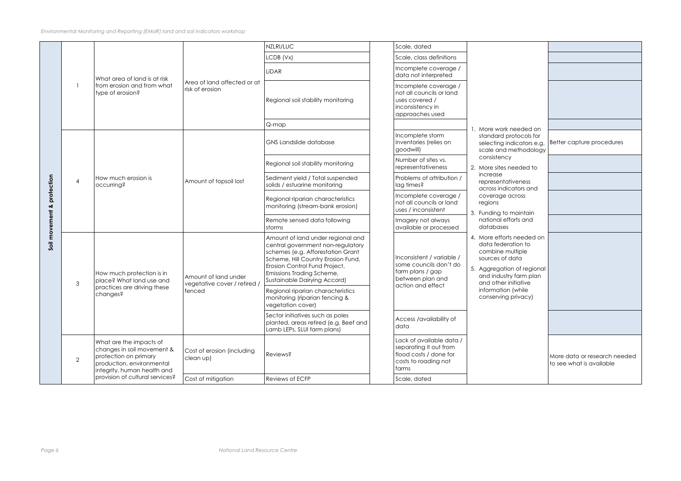| needed on                                              |                                                          |
|--------------------------------------------------------|----------------------------------------------------------|
| rotocols for<br>dicators e.g.<br>methodology           | Better capture procedures                                |
| ý<br>eeded to                                          |                                                          |
| tiveness<br>cators and                                 |                                                          |
| across                                                 |                                                          |
| maintain                                               |                                                          |
| forts and                                              |                                                          |
| s needed on<br>ation to<br>nultiple<br>data            |                                                          |
| on of regional<br>y farm plan<br>nitiative<br>า (while |                                                          |
| privacy)                                               |                                                          |
|                                                        |                                                          |
|                                                        |                                                          |
|                                                        | More data or research needed<br>to see what is available |
|                                                        |                                                          |

|            |                |                                                                                                                                            |                                                                | NZLRI/LUC                                                                                                                                                                                                                                       | Scale, dated                                                                                                  |                                                                                                                                                                                                                    |
|------------|----------------|--------------------------------------------------------------------------------------------------------------------------------------------|----------------------------------------------------------------|-------------------------------------------------------------------------------------------------------------------------------------------------------------------------------------------------------------------------------------------------|---------------------------------------------------------------------------------------------------------------|--------------------------------------------------------------------------------------------------------------------------------------------------------------------------------------------------------------------|
|            |                | What area of land is at risk<br>from erosion and from what<br>type of erosion?                                                             | Area of land affected or at<br>risk of erosion                 | LCDB (Vx)                                                                                                                                                                                                                                       | Scale, class definitions                                                                                      |                                                                                                                                                                                                                    |
|            |                |                                                                                                                                            |                                                                | <b>LiDAR</b>                                                                                                                                                                                                                                    | Incomplete coverage /<br>data not interpreted                                                                 |                                                                                                                                                                                                                    |
|            |                |                                                                                                                                            |                                                                | Regional soil stability monitoring                                                                                                                                                                                                              | Incomplete coverage /<br>not all councils or land<br>uses covered /<br>inconsistency in<br>approaches used    |                                                                                                                                                                                                                    |
|            |                |                                                                                                                                            |                                                                | Q-map                                                                                                                                                                                                                                           |                                                                                                               | . More work needed on                                                                                                                                                                                              |
|            | 4              |                                                                                                                                            | Amount of topsoil lost                                         | <b>GNS Landslide database</b>                                                                                                                                                                                                                   | Incomplete storm<br>inventories (relies on<br>goodwill)                                                       | standard protocols for<br>selecting indicators e.g<br>scale and methodolog<br>consistency<br>2. More sites needed to<br>increase<br>representativeness<br>across indicators and                                    |
|            |                |                                                                                                                                            |                                                                | Regional soil stability monitoring                                                                                                                                                                                                              | Number of sites vs.<br>representativeness                                                                     |                                                                                                                                                                                                                    |
| protection |                | How much erosion is<br>occurring?                                                                                                          |                                                                | Sediment yield / Total suspended<br>solids / estuarine monitoring                                                                                                                                                                               | Problems of attribution /<br>lag times?                                                                       |                                                                                                                                                                                                                    |
| ent &      |                |                                                                                                                                            |                                                                | Regional riparian characteristics<br>monitoring (stream-bank erosion)                                                                                                                                                                           | Incomplete coverage /<br>not all councils or land<br>uses / inconsistent                                      | coverage across<br>regions<br>3. Funding to maintain                                                                                                                                                               |
|            |                |                                                                                                                                            |                                                                | Remote sensed data following<br>storms                                                                                                                                                                                                          | Imagery not always<br>available or processed                                                                  | national efforts and<br>databases                                                                                                                                                                                  |
| Soil movem | 3              | How much protection is in<br>place? What land use and<br>practices are driving these<br>changes?                                           | Amount of land under<br>vegetative cover / retired /<br>fenced | Amount of land under regional and<br>central government non-regulatory<br>schemes (e.g. Afforestation Grant<br>Scheme, Hill Country Erosion Fund,<br>Erosion Control Fund Project,<br>Emissions Trading Scheme,<br>Sustainable Dairying Accord) | Inconsistent / variable /<br>some councils don't do<br>farm plans / gap<br>between plan and                   | 4. More efforts needed or<br>data federation to<br>combine multiple<br>sources of data<br>5. Aggregation of regiond<br>and industry farm plan<br>and other initiative<br>information (while<br>conserving privacy) |
|            |                |                                                                                                                                            |                                                                | Regional riparian characteristics<br>monitoring (riparian fencing &<br>vegetation cover)                                                                                                                                                        | action and effect                                                                                             |                                                                                                                                                                                                                    |
|            |                |                                                                                                                                            |                                                                | Sector initiatives such as poles<br>planted, areas retired (e.g. Beef and<br>Lamb LEPs, SLUI farm plans)                                                                                                                                        | Access /availability of<br>data                                                                               |                                                                                                                                                                                                                    |
|            | $\overline{2}$ | What are the impacts of<br>changes in soil movement &<br>protection on primary<br>production, environmental<br>integrity, human health and | Cost of erosion (including<br>clean up)                        | <b>Reviews?</b>                                                                                                                                                                                                                                 | Lack of available data /<br>separating it out from<br>flood costs / done for<br>costs to roading not<br>farms |                                                                                                                                                                                                                    |
|            |                | provision of cultural services?                                                                                                            | Cost of mitigation                                             | Reviews of ECFP                                                                                                                                                                                                                                 | Scale, dated                                                                                                  |                                                                                                                                                                                                                    |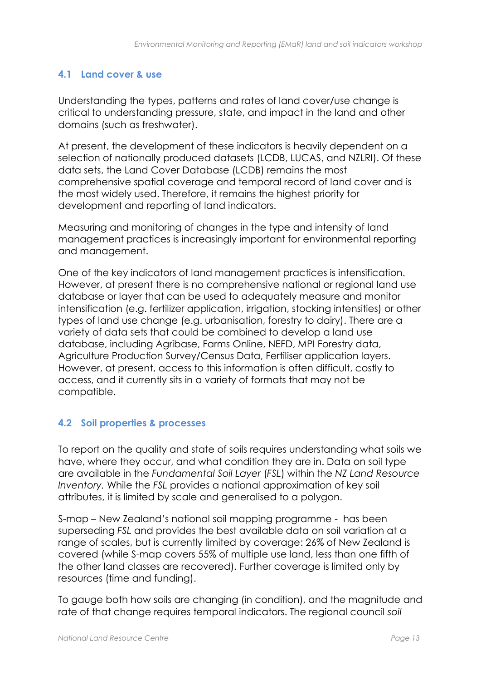### <span id="page-14-0"></span>**4.1 Land cover & use**

Understanding the types, patterns and rates of land cover/use change is critical to understanding pressure, state, and impact in the land and other domains (such as freshwater).

At present, the development of these indicators is heavily dependent on a selection of nationally produced datasets (LCDB, LUCAS, and NZLRI). Of these data sets, the Land Cover Database (LCDB) remains the most comprehensive spatial coverage and temporal record of land cover and is the most widely used. Therefore, it remains the highest priority for development and reporting of land indicators.

Measuring and monitoring of changes in the type and intensity of land management practices is increasingly important for environmental reporting and management.

One of the key indicators of land management practices is intensification. However, at present there is no comprehensive national or regional land use database or layer that can be used to adequately measure and monitor intensification (e.g. fertilizer application, irrigation, stocking intensities) or other types of land use change (e.g. urbanisation, forestry to dairy). There are a variety of data sets that could be combined to develop a land use database, including Agribase, Farms Online, NEFD, MPI Forestry data, Agriculture Production Survey/Census Data, Fertiliser application layers. However, at present, access to this information is often difficult, costly to access, and it currently sits in a variety of formats that may not be compatible.

### <span id="page-14-1"></span>**4.2 Soil properties & processes**

To report on the quality and state of soils requires understanding what soils we have, where they occur, and what condition they are in. Data on soil type are available in the *Fundamental Soil Layer* (*FSL*) within the *NZ Land Resource Inventory.* While the *FSL* provides a national approximation of key soil attributes, it is limited by scale and generalised to a polygon.

S-map – New Zealand's national soil mapping programme - has been superseding *FSL* and provides the best available data on soil variation at a range of scales, but is currently limited by coverage: 26% of New Zealand is covered (while S-map covers 55% of multiple use land, less than one fifth of the other land classes are recovered). Further coverage is limited only by resources (time and funding).

To gauge both how soils are changing (in condition), and the magnitude and rate of that change requires temporal indicators. The regional council *soil*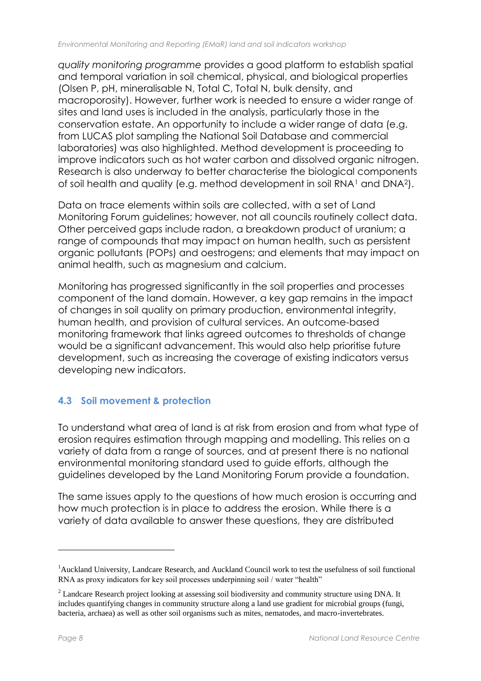*quality monitoring programme* provides a good platform to establish spatial and temporal variation in soil chemical, physical, and biological properties (Olsen P, pH, mineralisable N, Total C, Total N, bulk density, and macroporosity). However, further work is needed to ensure a wider range of sites and land uses is included in the analysis, particularly those in the conservation estate. An opportunity to include a wider range of data (e.g. from LUCAS plot sampling the National Soil Database and commercial laboratories) was also highlighted. Method development is proceeding to improve indicators such as hot water carbon and dissolved organic nitrogen. Research is also underway to better characterise the biological components of soil health and quality (e.g. method development in soil RNA<sup>1</sup> and DNA2).

Data on trace elements within soils are collected, with a set of Land Monitoring Forum guidelines; however, not all councils routinely collect data. Other perceived gaps include radon, a breakdown product of uranium; a range of compounds that may impact on human health, such as persistent organic pollutants (POPs) and oestrogens; and elements that may impact on animal health, such as magnesium and calcium.

Monitoring has progressed significantly in the soil properties and processes component of the land domain. However, a key gap remains in the impact of changes in soil quality on primary production, environmental integrity, human health, and provision of cultural services. An outcome-based monitoring framework that links agreed outcomes to thresholds of change would be a significant advancement. This would also help prioritise future development, such as increasing the coverage of existing indicators versus developing new indicators.

### <span id="page-15-0"></span>**4.3 Soil movement & protection**

To understand what area of land is at risk from erosion and from what type of erosion requires estimation through mapping and modelling. This relies on a variety of data from a range of sources, and at present there is no national environmental monitoring standard used to guide efforts, although the guidelines developed by the Land Monitoring Forum provide a foundation.

The same issues apply to the questions of how much erosion is occurring and how much protection is in place to address the erosion. While there is a variety of data available to answer these questions, they are distributed

1

<sup>1</sup>Auckland University, Landcare Research, and Auckland Council work to test the usefulness of soil functional RNA as proxy indicators for key soil processes underpinning soil / water "health"

<sup>&</sup>lt;sup>2</sup> Landcare Research project looking at assessing soil biodiversity and community structure using DNA. It includes quantifying changes in community structure along a land use gradient for microbial groups (fungi, bacteria, archaea) as well as other soil organisms such as mites, nematodes, and macro-invertebrates.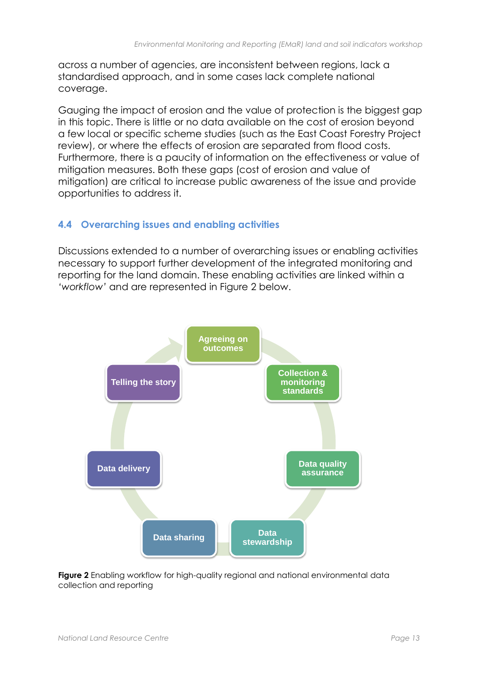across a number of agencies, are inconsistent between regions, lack a standardised approach, and in some cases lack complete national coverage.

Gauging the impact of erosion and the value of protection is the biggest gap in this topic. There is little or no data available on the cost of erosion beyond a few local or specific scheme studies (such as the East Coast Forestry Project review), or where the effects of erosion are separated from flood costs. Furthermore, there is a paucity of information on the effectiveness or value of mitigation measures. Both these gaps (cost of erosion and value of mitigation) are critical to increase public awareness of the issue and provide opportunities to address it.

#### <span id="page-16-0"></span>**4.4 Overarching issues and enabling activities**

Discussions extended to a number of overarching issues or enabling activities necessary to support further development of the integrated monitoring and reporting for the land domain. These enabling activities are linked within a *'workflow'* and are represented in Figure 2 below.



**Figure 2** Enabling workflow for high-quality regional and national environmental data collection and reporting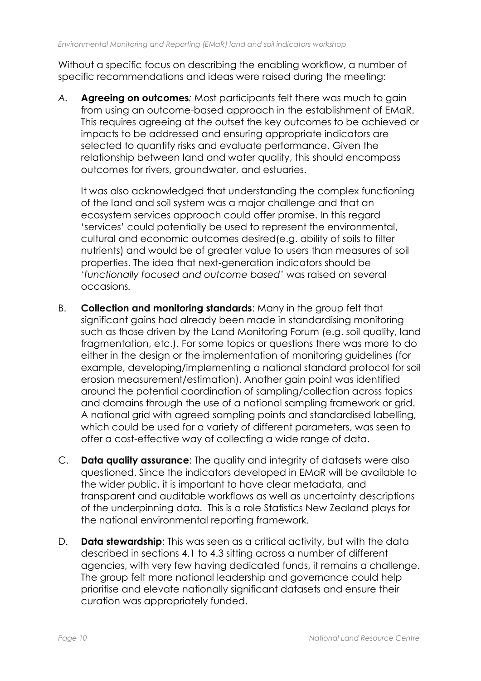Without a specific focus on describing the enabling workflow, a number of specific recommendations and ideas were raised during the meeting:

*A.* **Agreeing on outcomes***:* Most participants felt there was much to gain from using an outcome-based approach in the establishment of EMaR. This requires agreeing at the outset the key outcomes to be achieved or impacts to be addressed and ensuring appropriate indicators are selected to quantify risks and evaluate performance. Given the relationship between land and water quality, this should encompass outcomes for rivers, groundwater, and estuaries.

It was also acknowledged that understanding the complex functioning of the land and soil system was a major challenge and that an ecosystem services approach could offer promise. In this regard 'services' could potentially be used to represent the environmental, cultural and economic outcomes desired(e.g. ability of soils to filter nutrients) and would be of greater value to users than measures of soil properties. The idea that next-generation indicators should be *'functionally focused and outcome based'* was raised on several occasions*.*

- B. **Collection and monitoring standards**: Many in the group felt that significant gains had already been made in standardising monitoring such as those driven by the Land Monitoring Forum (e.g. soil quality, land fragmentation, etc.). For some topics or questions there was more to do either in the design or the implementation of monitoring guidelines (for example, developing/implementing a national standard protocol for soil erosion measurement/estimation). Another gain point was identified around the potential coordination of sampling/collection across topics and domains through the use of a national sampling framework or grid. A national grid with agreed sampling points and standardised labelling, which could be used for a variety of different parameters, was seen to offer a cost-effective way of collecting a wide range of data.
- C. **Data quality assurance**: The quality and integrity of datasets were also questioned. Since the indicators developed in EMaR will be available to the wider public, it is important to have clear metadata, and transparent and auditable workflows as well as uncertainty descriptions of the underpinning data. This is a role Statistics New Zealand plays for the national environmental reporting framework.
- D. **Data stewardship**: This was seen as a critical activity, but with the data described in sections 4.1 to 4.3 sitting across a number of different agencies, with very few having dedicated funds, it remains a challenge. The group felt more national leadership and governance could help prioritise and elevate nationally significant datasets and ensure their curation was appropriately funded.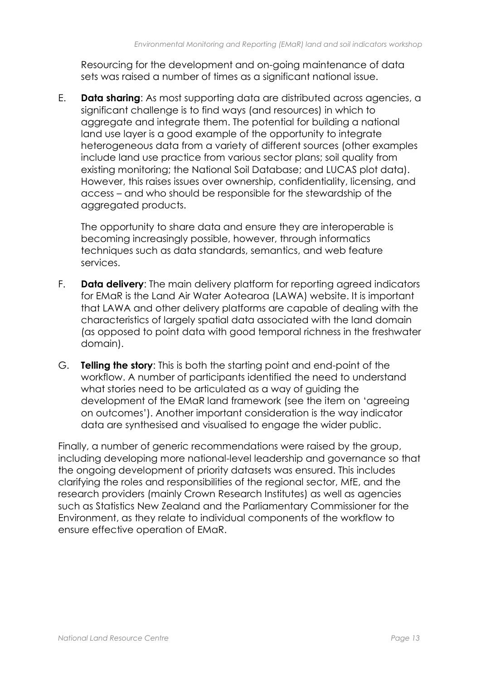Resourcing for the development and on-going maintenance of data sets was raised a number of times as a significant national issue.

E. **Data sharing**: As most supporting data are distributed across agencies, a significant challenge is to find ways (and resources) in which to aggregate and integrate them. The potential for building a national land use layer is a good example of the opportunity to integrate heterogeneous data from a variety of different sources (other examples include land use practice from various sector plans; soil quality from existing monitoring; the National Soil Database; and LUCAS plot data). However, this raises issues over ownership, confidentiality, licensing, and access – and who should be responsible for the stewardship of the aggregated products.

The opportunity to share data and ensure they are interoperable is becoming increasingly possible, however, through informatics techniques such as data standards, semantics, and web feature services.

- F. **Data delivery**: The main delivery platform for reporting agreed indicators for EMaR is the Land Air Water Aotearoa (LAWA) website. It is important that LAWA and other delivery platforms are capable of dealing with the characteristics of largely spatial data associated with the land domain (as opposed to point data with good temporal richness in the freshwater domain).
- G. **Telling the story**: This is both the starting point and end-point of the workflow. A number of participants identified the need to understand what stories need to be articulated as a way of guiding the development of the EMaR land framework (see the item on 'agreeing on outcomes'). Another important consideration is the way indicator data are synthesised and visualised to engage the wider public.

Finally, a number of generic recommendations were raised by the group, including developing more national-level leadership and governance so that the ongoing development of priority datasets was ensured. This includes clarifying the roles and responsibilities of the regional sector, MfE, and the research providers (mainly Crown Research Institutes) as well as agencies such as Statistics New Zealand and the Parliamentary Commissioner for the Environment, as they relate to individual components of the workflow to ensure effective operation of EMaR.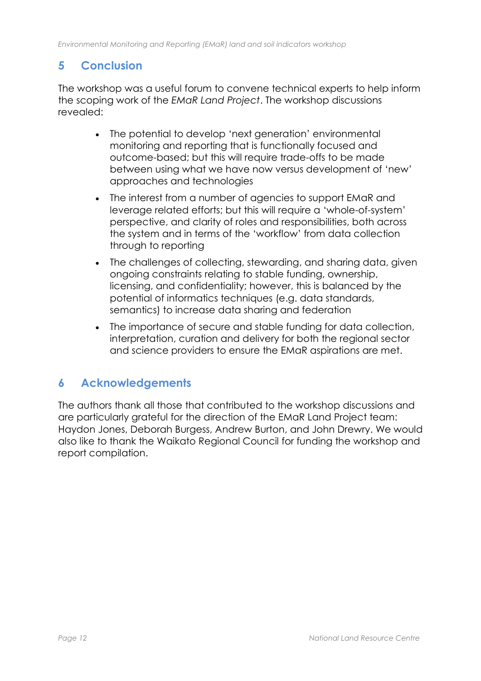### <span id="page-19-0"></span>**5 Conclusion**

The workshop was a useful forum to convene technical experts to help inform the scoping work of the *EMaR Land Project*. The workshop discussions revealed:

- The potential to develop 'next generation' environmental monitoring and reporting that is functionally focused and outcome-based; but this will require trade-offs to be made between using what we have now versus development of 'new' approaches and technologies
- The interest from a number of agencies to support EMaR and leverage related efforts; but this will require a 'whole-of-system' perspective, and clarity of roles and responsibilities, both across the system and in terms of the 'workflow' from data collection through to reporting
- The challenges of collecting, stewarding, and sharing data, given ongoing constraints relating to stable funding, ownership, licensing, and confidentiality; however, this is balanced by the potential of informatics techniques (e.g. data standards, semantics) to increase data sharing and federation
- The importance of secure and stable funding for data collection, interpretation, curation and delivery for both the regional sector and science providers to ensure the EMaR aspirations are met.

### <span id="page-19-1"></span>**6 Acknowledgements**

The authors thank all those that contributed to the workshop discussions and are particularly grateful for the direction of the EMaR Land Project team: Haydon Jones, Deborah Burgess, Andrew Burton, and John Drewry. We would also like to thank the Waikato Regional Council for funding the workshop and report compilation.